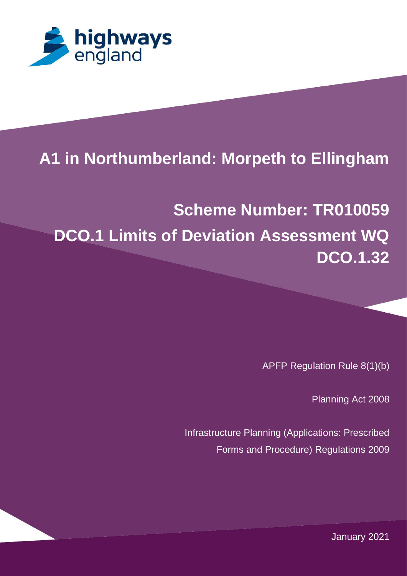

# 1 **A1 in Northumberland: Morpeth to Ellingham**

# **Scheme Number: TR010059 DCO.1 Limits of Deviation Assessment WQ DCO.1.32**

APFP Regulation Rule 8(1)(b)

Planning Act 2008

Infrastructure Planning (Applications: Prescribed Forms and Procedure) Regulations 2009

JUMPS OVER THE LAZY DOG. THE QUICK BROWN FOX JUMPS OVER THE LAZY DOG. THE January 2021 $\mathcal{L}$  and  $\mathcal{L}$  and  $\mathcal{L}$  and  $\mathcal{L}$  and  $\mathcal{L}$  and  $\mathcal{L}$  does not an interval  $\mathcal{L}$  and  $\mathcal{L}$  and  $\mathcal{L}$  and  $\mathcal{L}$  and  $\mathcal{L}$  and  $\mathcal{L}$  and  $\mathcal{L}$  and  $\mathcal{L}$  and  $\mathcal{L}$  and  $\mathcal{L}$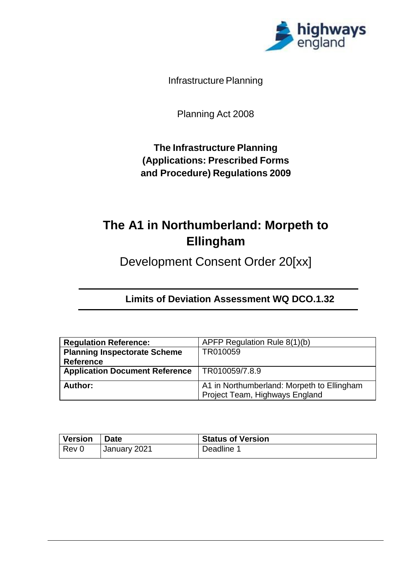

Infrastructure Planning

Planning Act 2008

**The Infrastructure Planning (Applications: Prescribed Forms and Procedure) Regulations 2009**

## **The A1 in Northumberland: Morpeth to Ellingham**

Development Consent Order 20[xx]

**Limits of Deviation Assessment WQ DCO.1.32**

| <b>Regulation Reference:</b>          | APFP Regulation Rule 8(1)(b)               |
|---------------------------------------|--------------------------------------------|
| <b>Planning Inspectorate Scheme</b>   | TR010059                                   |
| <b>Reference</b>                      |                                            |
| <b>Application Document Reference</b> | TR010059/7.8.9                             |
| Author:                               | A1 in Northumberland: Morpeth to Ellingham |
|                                       |                                            |
|                                       | Project Team, Highways England             |

| <b>Version</b> | <b>Date</b>  | <b>Status of Version</b> |
|----------------|--------------|--------------------------|
| $ $ Rev 0      | January 2021 | Deadline 1               |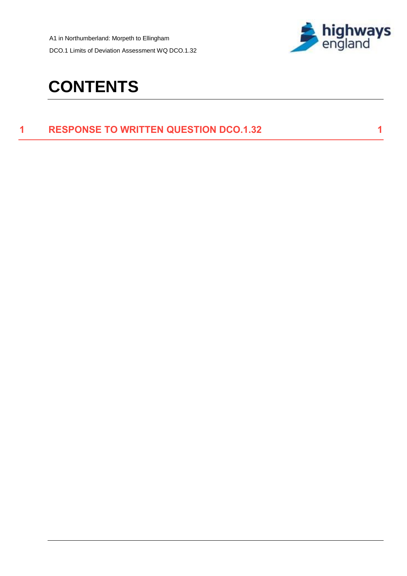A1 in Northumberland: Morpeth to Ellingham DCO.1 Limits of Deviation Assessment WQ DCO.1.32



# **CONTENTS**

### **1 [RESPONSE TO WRITTEN QUESTION DCO.1.32](#page-3-0) 1**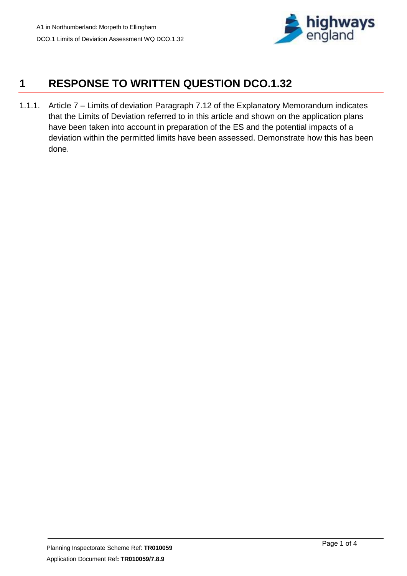

## <span id="page-3-0"></span>**1 RESPONSE TO WRITTEN QUESTION DCO.1.32**

1.1.1. Article 7 – Limits of deviation Paragraph 7.12 of the Explanatory Memorandum indicates that the Limits of Deviation referred to in this article and shown on the application plans have been taken into account in preparation of the ES and the potential impacts of a deviation within the permitted limits have been assessed. Demonstrate how this has been done.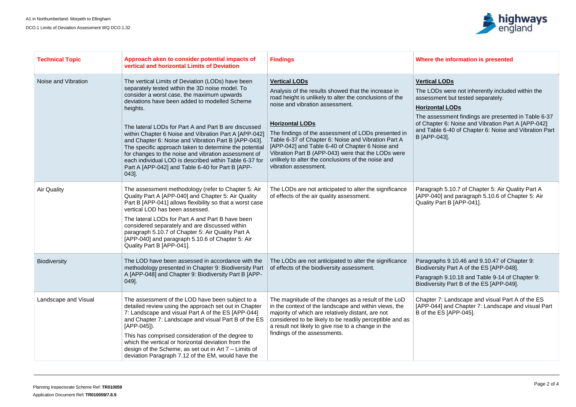

#### **Findings Where the information is presented**

### **LODs**

Ds were not inherently included within the nent but tested separately.

### **<u>Hal LODs</u>**

essment findings are presented in Table 6-37 ter 6: Noise and Vibration Part A [APP-042] ble 6-40 of Chapter 6: Noise and Vibration Part  $-043$ ].

aph 5.10.7 of Chapter 5: Air Quality Part A  $\overline{40}$  and paragraph 5.10.6 of Chapter 5: Air Part B  $[APP-041]$ .

phs 9.10.46 and 9.10.47 of Chapter 9: rsity Part A of the ES [APP-048].

aph 9.10.18 and Table 9-14 of Chapter 9: **Biodiversity Part B of the ES [APP-049].** 

7: Landscape and visual Part A of the ES 14] and Chapter 7: Landscape and visual Part  $\mathsf{ES}$  [APP-045].

| <b>Technical Topic</b> | Approach aken to consider potential impacts of<br>vertical and horizontal Limits of Deviation                                                                                                                                                                                                                                                                                                                                                                                                                                                                                                                                     | <b>Findings</b>                                                                                                                                                                                                                                                                                                                                                                                                                                                                                           | <b>Where t</b>                                                                                       |
|------------------------|-----------------------------------------------------------------------------------------------------------------------------------------------------------------------------------------------------------------------------------------------------------------------------------------------------------------------------------------------------------------------------------------------------------------------------------------------------------------------------------------------------------------------------------------------------------------------------------------------------------------------------------|-----------------------------------------------------------------------------------------------------------------------------------------------------------------------------------------------------------------------------------------------------------------------------------------------------------------------------------------------------------------------------------------------------------------------------------------------------------------------------------------------------------|------------------------------------------------------------------------------------------------------|
| Noise and Vibration    | The vertical Limits of Deviation (LODs) have been<br>separately tested within the 3D noise model. To<br>consider a worst case, the maximum upwards<br>deviations have been added to modelled Scheme<br>heights.<br>The lateral LODs for Part A and Part B are discussed<br>within Chapter 6 Noise and Vibration Part A [APP-042]<br>and Chapter 6: Noise and Vibration Part B [APP-043].<br>The specific approach taken to determine the potential<br>for changes to the noise and vibration assessment of<br>each individual LOD is described within Table 6-37 for<br>Part A [APP-042] and Table 6-40 for Part B [APP-<br>043]. | <b>Vertical LODs</b><br>Analysis of the results showed that the increase in<br>road height is unlikely to alter the conclusions of the<br>noise and vibration assessment.<br><b>Horizontal LODs</b><br>The findings of the assessment of LODs presented in<br>Table 6-37 of Chapter 6: Noise and Vibration Part A<br>[APP-042] and Table 6-40 of Chapter 6 Noise and<br>Vibration Part B (APP-043) were that the LODs were<br>unlikely to alter the conclusions of the noise and<br>vibration assessment. | <b>Vertical</b><br>The LOD<br>assessm<br><b>Horizon</b><br>The ass<br>of Chapt<br>and Tab<br>B [APP- |
| <b>Air Quality</b>     | The assessment methodology (refer to Chapter 5: Air<br>Quality Part A [APP-040] and Chapter 5: Air Quality<br>Part B [APP-041] allows flexibility so that a worst case<br>vertical LOD has been assessed.<br>The lateral LODs for Part A and Part B have been<br>considered separately and are discussed within<br>paragraph 5.10.7 of Chapter 5: Air Quality Part A<br>[APP-040] and paragraph 5.10.6 of Chapter 5: Air<br>Quality Part B [APP-041].                                                                                                                                                                             | The LODs are not anticipated to alter the significance<br>of effects of the air quality assessment.                                                                                                                                                                                                                                                                                                                                                                                                       | Paragra<br>$[APP-04]$<br><b>Quality F</b>                                                            |
| <b>Biodiversity</b>    | The LOD have been assessed in accordance with the<br>methodology presented in Chapter 9: Biodiversity Part   of effects of the biodiversity assessment.<br>A [APP-048] and Chapter 9: Biodiversity Part B [APP-<br>$[049]$ .                                                                                                                                                                                                                                                                                                                                                                                                      | The LODs are not anticipated to alter the significance                                                                                                                                                                                                                                                                                                                                                                                                                                                    | Paragra<br><b>Biodiver</b><br>Paragra<br><b>Biodiver</b>                                             |
| Landscape and Visual   | The assessment of the LOD have been subject to a<br>detailed review using the approach set out in Chapter<br>7: Landscape and visual Part A of the ES [APP-044]<br>and Chapter 7: Landscape and visual Part B of the ES<br>$[APP-045]$ .<br>This has comprised consideration of the degree to<br>which the vertical or horizontal deviation from the<br>design of the Scheme, as set out in Art $7 -$ Limits of<br>deviation Paragraph 7.12 of the EM, would have the                                                                                                                                                             | The magnitude of the changes as a result of the LoD<br>in the context of the landscape and within views, the<br>majority of which are relatively distant, are not<br>considered to be likely to be readily perceptible and as<br>a result not likely to give rise to a change in the<br>findings of the assessments.                                                                                                                                                                                      | Chapter<br>$[APP-04]$<br>B of the                                                                    |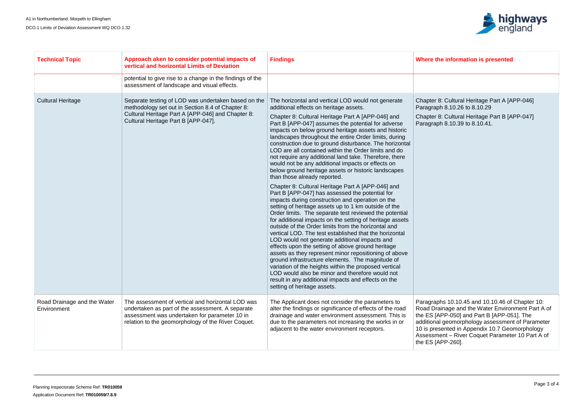

#### **Findings Where the information is presented**

8: Cultural Heritage Part A [APP-046] aph 8.10.26 to 8.10.29

R 8: Cultural Heritage Part B [APP-047] aph 8.10.39 to 8.10.41.

aphs 10.10.45 and 10.10.46 of Chapter 10: Road Drainage and the Water Environment Part A of the ES [APP-050] and Part B [APP-051]. The additional geomorphology assessment of Parameter 10 is presented in Appendix 10.7 Geomorphology Assessment – River Coquet Parameter 10 Part A of  $[APP-260]$ .

| <b>Technical Topic</b>                     | Approach aken to consider potential impacts of<br>vertical and horizontal Limits of Deviation                                                                                                                | <b>Findings</b>                                                                                                                                                                                                                                                                                                                                                                                                                                                                                                                                                                                                                                                                                                                                                                                                                                                                                                                                                                                                                                                                                                                                                                                                                                                                                                                                                                                                                                                                                                                  | <b>Where t</b>                                                                  |
|--------------------------------------------|--------------------------------------------------------------------------------------------------------------------------------------------------------------------------------------------------------------|----------------------------------------------------------------------------------------------------------------------------------------------------------------------------------------------------------------------------------------------------------------------------------------------------------------------------------------------------------------------------------------------------------------------------------------------------------------------------------------------------------------------------------------------------------------------------------------------------------------------------------------------------------------------------------------------------------------------------------------------------------------------------------------------------------------------------------------------------------------------------------------------------------------------------------------------------------------------------------------------------------------------------------------------------------------------------------------------------------------------------------------------------------------------------------------------------------------------------------------------------------------------------------------------------------------------------------------------------------------------------------------------------------------------------------------------------------------------------------------------------------------------------------|---------------------------------------------------------------------------------|
|                                            | potential to give rise to a change in the findings of the<br>assessment of landscape and visual effects.                                                                                                     |                                                                                                                                                                                                                                                                                                                                                                                                                                                                                                                                                                                                                                                                                                                                                                                                                                                                                                                                                                                                                                                                                                                                                                                                                                                                                                                                                                                                                                                                                                                                  |                                                                                 |
| <b>Cultural Heritage</b>                   | Separate testing of LOD was undertaken based on the<br>methodology set out in Section 8.4 of Chapter 8:<br>Cultural Heritage Part A [APP-046] and Chapter 8:<br>Cultural Heritage Part B [APP-047].          | The horizontal and vertical LOD would not generate<br>additional effects on heritage assets.<br>Chapter 8: Cultural Heritage Part A [APP-046] and<br>Part B [APP-047] assumes the potential for adverse<br>impacts on below ground heritage assets and historic<br>landscapes throughout the entire Order limits, during<br>construction due to ground disturbance. The horizontal<br>LOD are all contained within the Order limits and do<br>not require any additional land take. Therefore, there<br>would not be any additional impacts or effects on<br>below ground heritage assets or historic landscapes<br>than those already reported.<br>Chapter 8: Cultural Heritage Part A [APP-046] and<br>Part B [APP-047] has assessed the potential for<br>impacts during construction and operation on the<br>setting of heritage assets up to 1 km outside of the<br>Order limits. The separate test reviewed the potential<br>for additional impacts on the setting of heritage assets<br>outside of the Order limits from the horizontal and<br>vertical LOD. The test established that the horizontal<br>LOD would not generate additional impacts and<br>effects upon the setting of above ground heritage<br>assets as they represent minor repositioning of above<br>ground infrastructure elements. The magnitude of<br>variation of the heights within the proposed vertical<br>LOD would also be minor and therefore would not<br>result in any additional impacts and effects on the<br>setting of heritage assets. | Chapter<br>Paragra<br>Chapter<br>Paragra                                        |
| Road Drainage and the Water<br>Environment | The assessment of vertical and horizontal LOD was<br>undertaken as part of the assessment. A separate<br>assessment was undertaken for parameter 10 in<br>relation to the geomorphology of the River Coquet. | The Applicant does not consider the parameters to<br>alter the findings or significance of effects of the road<br>drainage and water environment assessment. This is<br>due to the parameters not increasing the works in or<br>adjacent to the water environment receptors.                                                                                                                                                                                                                                                                                                                                                                                                                                                                                                                                                                                                                                                                                                                                                                                                                                                                                                                                                                                                                                                                                                                                                                                                                                                     | Paragra<br>Road D<br>the ES [<br>addition<br>$10$ is pre<br>Assessr<br>the ES [ |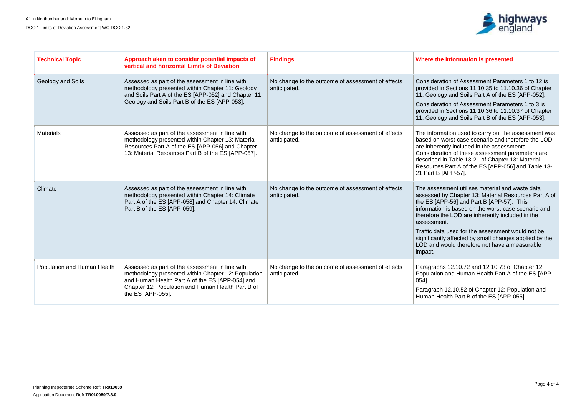

#### **Findings Where the information is presented**

eration of Assessment Parameters 1 to 12 is d in Sections  $11.10.35$  to  $11.10.36$  of Chapter logy and Soils Part A of the ES [APP-052].

eration of Assessment Parameters 1 to 3 is d in Sections 11.10.36 to 11.10.37 of Chapter 10gy and Soils Part B of the ES [APP-053].

ormation used to carry out the assessment was on worst-case scenario and therefore the LOD erently included in the assessments. eration of these assessment parameters are ed in Table 13-21 of Chapter 13: Material ces Part A of the ES [APP-056] and Table 13-B [APP-57].

sessment utilises material and waste data ed by Chapter 13: Material Resources Part A of [APP-56] and Part B [APP-57]. This tion is based on the worst-case scenario and re the LOD are inherently included in the nent.

fata used for the assessment would not be antly affected by small changes applied by the d would therefore not have a measurable

aphs 12.10.72 and 12.10.73 of Chapter 12: tion and Human Health Part A of the ES [APP-

aph 12.10.52 of Chapter 12: Population and Health Part B of the ES [APP-055].

| <b>Technical Topic</b>      | Approach aken to consider potential impacts of<br>vertical and horizontal Limits of Deviation                                                                                                                                       | <b>Findings</b>                                                   | Where t                                                                                                          |
|-----------------------------|-------------------------------------------------------------------------------------------------------------------------------------------------------------------------------------------------------------------------------------|-------------------------------------------------------------------|------------------------------------------------------------------------------------------------------------------|
| Geology and Soils           | Assessed as part of the assessment in line with<br>methodology presented within Chapter 11: Geology<br>and Soils Part A of the ES [APP-052] and Chapter 11:<br>Geology and Soils Part B of the ES [APP-053].                        | No change to the outcome of assessment of effects<br>anticipated. | Conside<br>provide<br>11: Geo<br>Conside<br>provided<br>11: Geo                                                  |
| <b>Materials</b>            | Assessed as part of the assessment in line with<br>methodology presented within Chapter 13: Material<br>Resources Part A of the ES [APP-056] and Chapter<br>13: Material Resources Part B of the ES [APP-057].                      | No change to the outcome of assessment of effects<br>anticipated. | The info<br>based o<br>are inhe<br>Conside<br>describe<br>Resourd<br>21 Part                                     |
| Climate                     | Assessed as part of the assessment in line with<br>methodology presented within Chapter 14: Climate<br>Part A of the ES [APP-058] and Chapter 14: Climate<br>Part B of the ES [APP-059].                                            | No change to the outcome of assessment of effects<br>anticipated. | The ass<br>assesse<br>the ES [<br>informat<br>therefor<br>assessr<br>Traffic d<br>significa<br>LOD an<br>impact. |
| Population and Human Health | Assessed as part of the assessment in line with<br>methodology presented within Chapter 12: Population<br>and Human Health Part A of the ES [APP-054] and<br>Chapter 12: Population and Human Health Part B of<br>the ES [APP-055]. | No change to the outcome of assessment of effects<br>anticipated. | Paragra<br>Populat<br>$054$ ].<br>Paragra<br>Human                                                               |